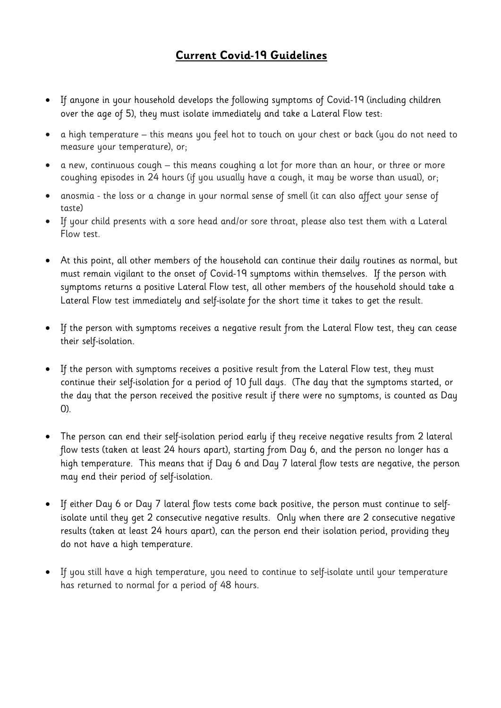## **Current Covid-19 Guidelines**

- If anyone in your household develops the following symptoms of Covid-19 (including children over the age of 5), they must isolate immediately and take a Lateral Flow test:
- a high temperature this means you feel hot to touch on your chest or back (you do not need to measure your temperature), or;
- a new, continuous cough this means coughing a lot for more than an hour, or three or more coughing episodes in 24 hours (if you usually have a cough, it may be worse than usual), or;
- anosmia the loss or a change in your normal sense of smell (it can also affect your sense of taste)
- If your child presents with a sore head and/or sore throat, please also test them with a Lateral Flow test.
- At this point, all other members of the household can continue their daily routines as normal, but must remain vigilant to the onset of Covid-19 symptoms within themselves. If the person with symptoms returns a positive Lateral Flow test, all other members of the household should take a Lateral Flow test immediately and self-isolate for the short time it takes to get the result.
- If the person with symptoms receives a negative result from the Lateral Flow test, they can cease their self-isolation.
- If the person with symptoms receives a positive result from the Lateral Flow test, they must continue their self-isolation for a period of 10 full days. (The day that the symptoms started, or the day that the person received the positive result if there were no symptoms, is counted as Day 0).
- The person can end their self-isolation period early if they receive negative results from 2 lateral flow tests (taken at least 24 hours apart), starting from Day 6, and the person no longer has a high temperature. This means that if Day 6 and Day 7 lateral flow tests are negative, the person may end their period of self-isolation.
- If either Day 6 or Day 7 lateral flow tests come back positive, the person must continue to selfisolate until they get 2 consecutive negative results. Only when there are 2 consecutive negative results (taken at least 24 hours apart), can the person end their isolation period, providing they do not have a high temperature.
- If you still have a high temperature, you need to continue to self-isolate until your temperature has returned to normal for a period of 48 hours.